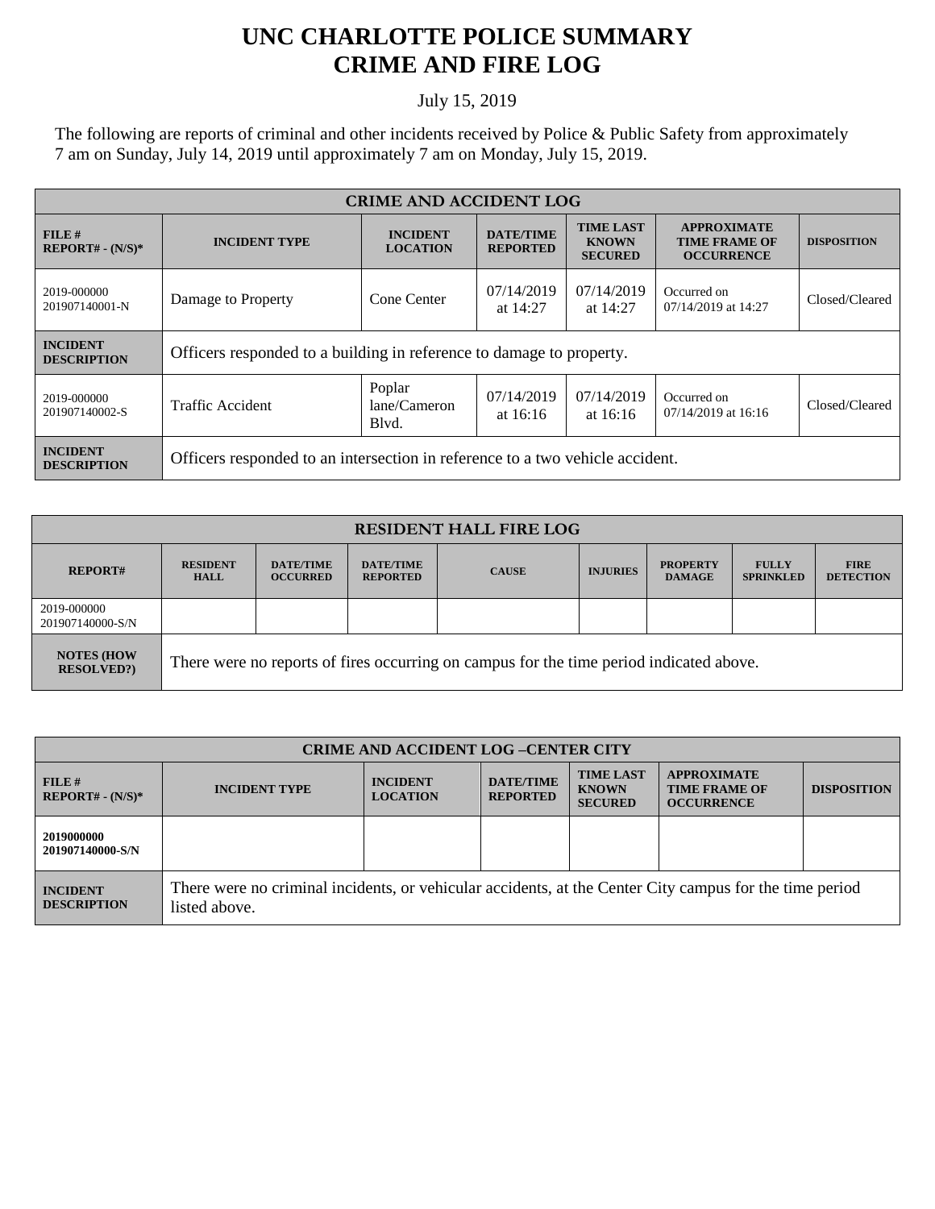## **UNC CHARLOTTE POLICE SUMMARY CRIME AND FIRE LOG**

## July 15, 2019

The following are reports of criminal and other incidents received by Police & Public Safety from approximately 7 am on Sunday, July 14, 2019 until approximately 7 am on Monday, July 15, 2019.

| <b>CRIME AND ACCIDENT LOG</b>         |                                                                               |                                    |                                     |                                                    |                                                                 |                    |  |
|---------------------------------------|-------------------------------------------------------------------------------|------------------------------------|-------------------------------------|----------------------------------------------------|-----------------------------------------------------------------|--------------------|--|
| $FILE$ #<br>$REPORT# - (N/S)*$        | <b>INCIDENT TYPE</b>                                                          | <b>INCIDENT</b><br><b>LOCATION</b> | <b>DATE/TIME</b><br><b>REPORTED</b> | <b>TIME LAST</b><br><b>KNOWN</b><br><b>SECURED</b> | <b>APPROXIMATE</b><br><b>TIME FRAME OF</b><br><b>OCCURRENCE</b> | <b>DISPOSITION</b> |  |
| 2019-000000<br>201907140001-N         | Damage to Property                                                            | Cone Center                        | 07/14/2019<br>at $14:27$            | 07/14/2019<br>at $14:27$                           | Occurred on<br>07/14/2019 at 14:27                              | Closed/Cleared     |  |
| <b>INCIDENT</b><br><b>DESCRIPTION</b> | Officers responded to a building in reference to damage to property.          |                                    |                                     |                                                    |                                                                 |                    |  |
| 2019-000000<br>201907140002-S         | <b>Traffic Accident</b>                                                       | Poplar<br>lane/Cameron<br>Blvd.    | 07/14/2019<br>at $16:16$            | 07/14/2019<br>at $16:16$                           | Occurred on<br>07/14/2019 at 16:16                              | Closed/Cleared     |  |
| <b>INCIDENT</b><br><b>DESCRIPTION</b> | Officers responded to an intersection in reference to a two vehicle accident. |                                    |                                     |                                                    |                                                                 |                    |  |

| <b>RESIDENT HALL FIRE LOG</b>          |                                                                                         |                                     |                                     |              |                 |                                  |                                  |                                 |
|----------------------------------------|-----------------------------------------------------------------------------------------|-------------------------------------|-------------------------------------|--------------|-----------------|----------------------------------|----------------------------------|---------------------------------|
| <b>REPORT#</b>                         | <b>RESIDENT</b><br><b>HALL</b>                                                          | <b>DATE/TIME</b><br><b>OCCURRED</b> | <b>DATE/TIME</b><br><b>REPORTED</b> | <b>CAUSE</b> | <b>INJURIES</b> | <b>PROPERTY</b><br><b>DAMAGE</b> | <b>FULLY</b><br><b>SPRINKLED</b> | <b>FIRE</b><br><b>DETECTION</b> |
| 2019-000000<br>201907140000-S/N        |                                                                                         |                                     |                                     |              |                 |                                  |                                  |                                 |
| <b>NOTES (HOW</b><br><b>RESOLVED?)</b> | There were no reports of fires occurring on campus for the time period indicated above. |                                     |                                     |              |                 |                                  |                                  |                                 |

| <b>CRIME AND ACCIDENT LOG -CENTER CITY</b> |                                                                                                                          |                                    |                                     |                                                    |                                                                 |                    |
|--------------------------------------------|--------------------------------------------------------------------------------------------------------------------------|------------------------------------|-------------------------------------|----------------------------------------------------|-----------------------------------------------------------------|--------------------|
| FILE H<br>$REPORT# - (N/S)*$               | <b>INCIDENT TYPE</b>                                                                                                     | <b>INCIDENT</b><br><b>LOCATION</b> | <b>DATE/TIME</b><br><b>REPORTED</b> | <b>TIME LAST</b><br><b>KNOWN</b><br><b>SECURED</b> | <b>APPROXIMATE</b><br><b>TIME FRAME OF</b><br><b>OCCURRENCE</b> | <b>DISPOSITION</b> |
| 2019000000<br>201907140000-S/N             |                                                                                                                          |                                    |                                     |                                                    |                                                                 |                    |
| <b>INCIDENT</b><br><b>DESCRIPTION</b>      | There were no criminal incidents, or vehicular accidents, at the Center City campus for the time period<br>listed above. |                                    |                                     |                                                    |                                                                 |                    |